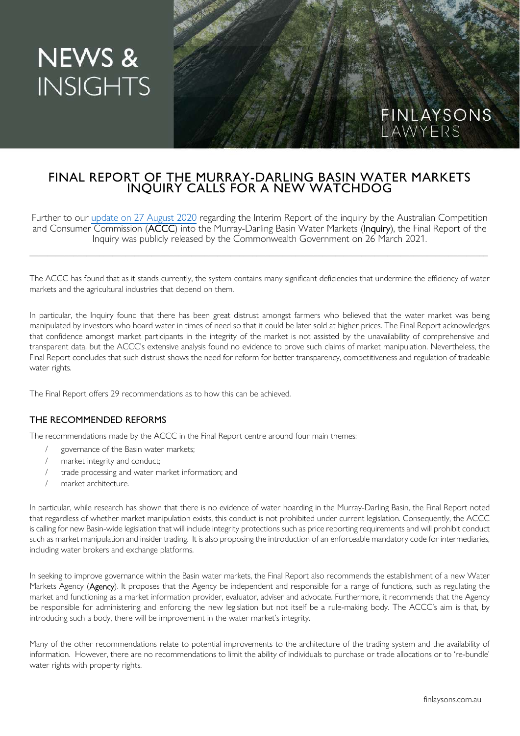# **NEWS & INSIGHTS**

## FINAL REPORT OF THE MURRAY-DARLING BASIN WATER MARKETS INQUIRY CALLS FOR A NEW WATCHDOG

Further to our update on 27 August 2020 regarding the Interim Report of the inquiry by the Australian Competition and Consumer Commission (ACCC) into the Murray-Darling Basin Water Markets (Inquiry), the Final Report of the Inquiry was publicly released by the Commonwealth Government on 26 March 2021.

\_\_\_\_\_\_\_\_\_\_\_\_\_\_\_\_\_\_\_\_\_\_\_\_\_\_\_\_\_\_\_\_\_\_\_\_\_\_\_\_\_\_\_\_\_\_\_\_\_\_\_\_\_\_\_\_\_\_\_\_\_\_\_\_\_\_\_\_\_\_\_\_\_\_\_\_\_\_\_\_\_\_\_\_\_\_\_\_\_\_\_\_\_\_\_\_\_\_\_\_\_\_\_\_\_

The ACCC has found that as it stands currently, the system contains many significant deficiencies that undermine the efficiency of water markets and the agricultural industries that depend on them.

In particular, the Inquiry found that there has been great distrust amongst farmers who believed that the water market was being manipulated by investors who hoard water in times of need so that it could be later sold at higher prices. The Final Report acknowledges that confidence amongst market participants in the integrity of the market is not assisted by the unavailability of comprehensive and transparent data, but the ACCC's extensive analysis found no evidence to prove such claims of market manipulation. Nevertheless, the Final Report concludes that such distrust shows the need for reform for better transparency, competitiveness and regulation of tradeable water rights.

The Final Report offers 29 recommendations as to how this can be achieved.

### THE RECOMMENDED REFORMS

The recommendations made by the ACCC in the Final Report centre around four main themes:

- governance of the Basin water markets;
- market integrity and conduct;
- trade processing and water market information; and
- market architecture.

In particular, while research has shown that there is no evidence of water hoarding in the Murray-Darling Basin, the Final Report noted that regardless of whether market manipulation exists, this conduct is not prohibited under current legislation. Consequently, the ACCC is calling for new Basin-wide legislation that will include integrity protections such as price reporting requirements and will prohibit conduct such as market manipulation and insider trading. It is also proposing the introduction of an enforceable mandatory code for intermediaries, including water brokers and exchange platforms.

In seeking to improve governance within the Basin water markets, the Final Report also recommends the establishment of a new Water Markets Agency (Agency). It proposes that the Agency be independent and responsible for a range of functions, such as regulating the market and functioning as a market information provider, evaluator, adviser and advocate. Furthermore, it recommends that the Agency be responsible for administering and enforcing the new legislation but not itself be a rule-making body. The ACCC's aim is that, by introducing such a body, there will be improvement in the water market's integrity.

Many of the other recommendations relate to potential improvements to the architecture of the trading system and the availability of information. However, there are no recommendations to limit the ability of individuals to purchase or trade allocations or to 're-bundle' water rights with property rights.

FINLAYSONS

LAWYERS